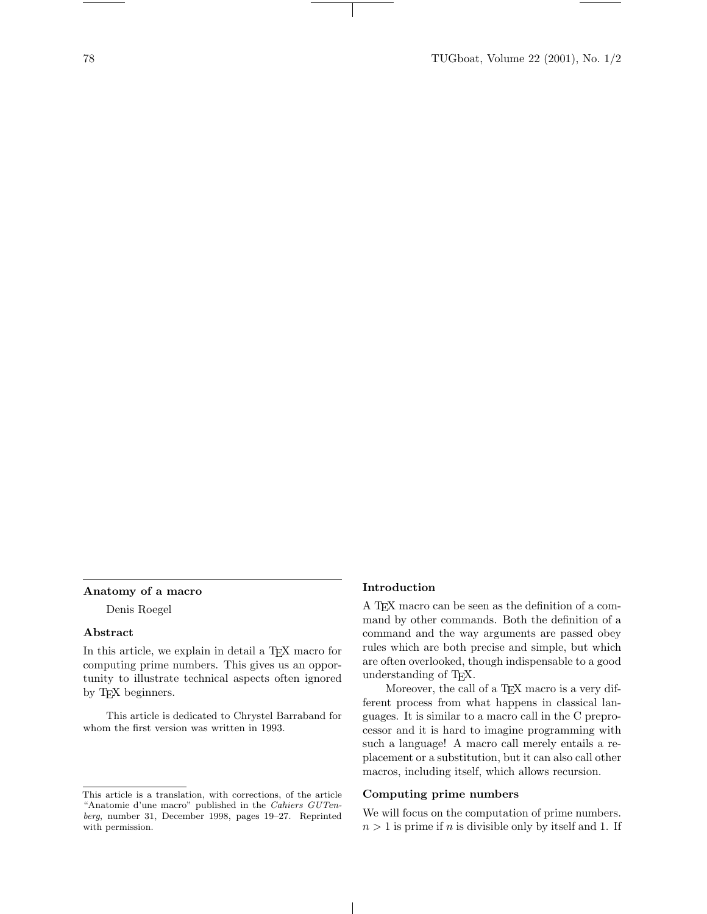### Anatomy of a macro

Denis Roegel

#### Abstract

In this article, we explain in detail a T<sub>EX</sub> macro for computing prime numbers. This gives us an opportunity to illustrate technical aspects often ignored by T<sub>E</sub>X beginners.

This article is dedicated to Chrystel Barraband for whom the first version was written in 1993.

## Introduction

 $\overline{1}$ 

A TEX macro can be seen as the definition of a command by other commands. Both the definition of a command and the way arguments are passed obey rules which are both precise and simple, but which are often overlooked, though indispensable to a good understanding of TEX.

Moreover, the call of a T<sub>EX</sub> macro is a very different process from what happens in classical languages. It is similar to a macro call in the C preprocessor and it is hard to imagine programming with such a language! A macro call merely entails a replacement or a substitution, but it can also call other macros, including itself, which allows recursion.

## Computing prime numbers

We will focus on the computation of prime numbers.  $n > 1$  is prime if n is divisible only by itself and 1. If

This article is a translation, with corrections, of the article "Anatomie d'une macro" published in the Cahiers GUTenberg, number 31, December 1998, pages 19–27. Reprinted with permission.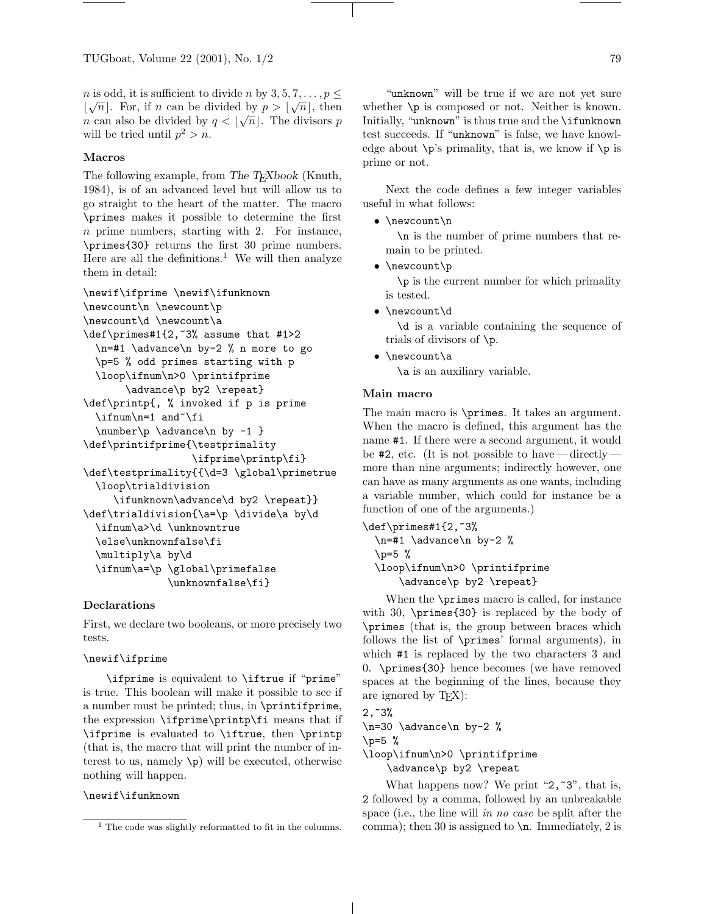*n* is odd, it is sufficient to divide *n* by 3, 5, 7, ...,  $p \leq$  $\lfloor \sqrt{n} \rfloor$ . For, if *n* can be divided by  $p > \lfloor \sqrt{n} \rfloor$ , then *n* can also be divided by  $q < |\sqrt{n}|$ . The divisors p will be tried until  $p^2 > n$ .

## Macros

The following example, from The T<sub>E</sub>Xbook (Knuth, 1984), is of an advanced level but will allow us to go straight to the heart of the matter. The macro \primes makes it possible to determine the first n prime numbers, starting with 2. For instance, \primes{30} returns the first 30 prime numbers. Here are all the definitions.<sup>1</sup> We will then analyze them in detail:

```
\newif\ifprime \newif\ifunknown
\newcount\n \newcount\p
\newcount\d \newcount\a
\def\primes#1{2,~3% assume that #1>2
 \n=#1 \advance\n by-2 % n more to go
 \p=5 % odd primes starting with p
 \loop\ifnum\n>0 \printifprime
       \advance\p by2 \repeat}
\def\printp{, % invoked if p is prime
 \inftyn=1 and~\fi
 \number\p \advance\n by -1 }
\def\printifprime{\testprimality
                  \ifprime\printp\fi}
\def\testprimality{{\d=3 \global\primetrue
 \loop\trialdivision
    \ifunknown\advance\d by2 \repeat}}
\def\trialdivision{\a=\p \divide\a by\d
 \ifnum\a>\d \unknowntrue
 \else\unknownfalse\fi
 \multiply\a by\d
 \ifnum\a=\p \global\primefalse
              \unknownfalse\fi}
```
### Declarations

First, we declare two booleans, or more precisely two tests.

# \newif\ifprime

\ifprime is equivalent to \iftrue if "prime" is true. This boolean will make it possible to see if a number must be printed; thus, in \printifprime, the expression \ifprime\printp\fi means that if \ifprime is evaluated to \iftrue, then \printp (that is, the macro that will print the number of interest to us, namely  $\langle p \rangle$  will be executed, otherwise nothing will happen.

# \newif\ifunknown

"unknown" will be true if we are not yet sure whether  $\pi$  is composed or not. Neither is known. Initially, "unknown" is thus true and the \ifunknown test succeeds. If "unknown" is false, we have knowledge about  $\pi$ 's primality, that is, we know if  $\pi$  is prime or not.

Next the code defines a few integer variables useful in what follows:

• \newcount\n

\n is the number of prime numbers that remain to be printed.

• \newcount\p

\p is the current number for which primality is tested.

• \newcount\d

\d is a variable containing the sequence of trials of divisors of \p.

• \newcount\a \a is an auxiliary variable.

### Main macro

The main macro is \primes. It takes an argument. When the macro is defined, this argument has the name #1. If there were a second argument, it would be  $\#2$ , etc. (It is not possible to have —directly more than nine arguments; indirectly however, one can have as many arguments as one wants, including a variable number, which could for instance be a function of one of the arguments.)

```
\def\primes#1{2,~3%
  \n=#1 \advance\n by-2 %
  \pmb{\wedge} p=5 %
  \loop\ifnum\n>0 \printifprime
      \advance\p by2 \repeat}
```
When the **\primes** macro is called, for instance with 30, \primes{30} is replaced by the body of \primes (that is, the group between braces which follows the list of \primes' formal arguments), in which #1 is replaced by the two characters 3 and 0. \primes{30} hence becomes (we have removed spaces at the beginning of the lines, because they are ignored by T<sub>F</sub>X):

```
2,73%\n=30 \advance\n by-2 %
\p=5 %
\loop\ifnum\n>0 \printifprime
    \advance\p by2 \repeat
```
What happens now? We print " $2, 3$ ", that is, 2 followed by a comma, followed by an unbreakable space (i.e., the line will in no case be split after the comma); then 30 is assigned to  $\n\times$  Immediately, 2 is

 $<sup>1</sup>$  The code was slightly reformatted to fit in the columns.</sup>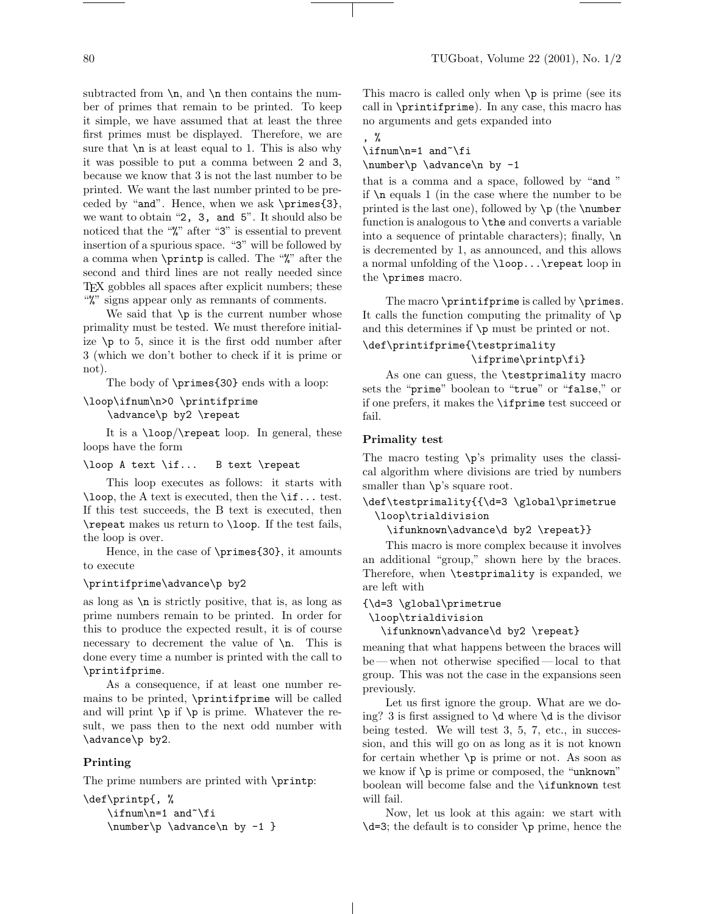subtracted from  $n$ , and  $n$  then contains the number of primes that remain to be printed. To keep it simple, we have assumed that at least the three first primes must be displayed. Therefore, we are sure that  $\nabla$  is at least equal to 1. This is also why it was possible to put a comma between 2 and 3, because we know that 3 is not the last number to be printed. We want the last number printed to be preceded by "and". Hence, when we ask \primes{3}, we want to obtain "2, 3, and 5". It should also be noticed that the "%" after "3" is essential to prevent insertion of a spurious space. "3" will be followed by a comma when \printp is called. The "%" after the second and third lines are not really needed since TEX gobbles all spaces after explicit numbers; these "%" signs appear only as remnants of comments.

We said that  $\pi$  is the current number whose primality must be tested. We must therefore initialize  $\pi$  to 5, since it is the first odd number after 3 (which we don't bother to check if it is prime or not).

The body of \primes{30} ends with a loop:

# \loop\ifnum\n>0 \printifprime \advance\p by2 \repeat

It is a \loop/\repeat loop. In general, these loops have the form

### \loop A text \if... B text \repeat

This loop executes as follows: it starts with \loop, the A text is executed, then the \if... test. If this test succeeds, the B text is executed, then \repeat makes us return to \loop. If the test fails, the loop is over.

Hence, in the case of \primes{30}, it amounts to execute

### \printifprime\advance\p by2

as long as  $\n\times$  is strictly positive, that is, as long as prime numbers remain to be printed. In order for this to produce the expected result, it is of course necessary to decrement the value of  $\n\lambda$ n. This is done every time a number is printed with the call to \printifprime.

As a consequence, if at least one number remains to be printed, \printifprime will be called and will print  $\pi$  is prime. Whatever the result, we pass then to the next odd number with \advance\p by2.

# Printing

The prime numbers are printed with \printp:

```
\def\printp{, %
    \ifnum\n=1 and~\fi
    \number\p \advance\n by -1 }
```
This macro is called only when  $\pi$  is prime (see its call in \printifprime). In any case, this macro has no arguments and gets expanded into

, %

\ifnum\n=1 and~\fi

\number\p \advance\n by -1

that is a comma and a space, followed by "and " if \n equals 1 (in the case where the number to be printed is the last one), followed by  $\pi$  (the \number function is analogous to \the and converts a variable into a sequence of printable characters); finally,  $\n\lambda$ is decremented by 1, as announced, and this allows a normal unfolding of the \loop...\repeat loop in the \primes macro.

The macro \printifprime is called by \primes. It calls the function computing the primality of  $\pi$ and this determines if \p must be printed or not.

# \def\printifprime{\testprimality \ifprime\printp\fi}

As one can guess, the \testprimality macro sets the "prime" boolean to "true" or "false," or if one prefers, it makes the \ifprime test succeed or fail.

## Primality test

The macro testing \p's primality uses the classical algorithm where divisions are tried by numbers smaller than  $\pi$ 's square root.

# \def\testprimality{{\d=3 \global\primetrue \loop\trialdivision

\ifunknown\advance\d by2 \repeat}}

This macro is more complex because it involves an additional "group," shown here by the braces. Therefore, when \testprimality is expanded, we are left with

{\d=3 \global\primetrue

\loop\trialdivision

\ifunknown\advance\d by2 \repeat}

meaning that what happens between the braces will be — when not otherwise specified— local to that group. This was not the case in the expansions seen previously.

Let us first ignore the group. What are we doing? 3 is first assigned to \d where \d is the divisor being tested. We will test 3, 5, 7, etc., in succession, and this will go on as long as it is not known for certain whether  $\pi$  is prime or not. As soon as we know if \p is prime or composed, the "unknown" boolean will become false and the \ifunknown test will fail.

Now, let us look at this again: we start with  $\doteq$ 3; the default is to consider  $\pi$  prime, hence the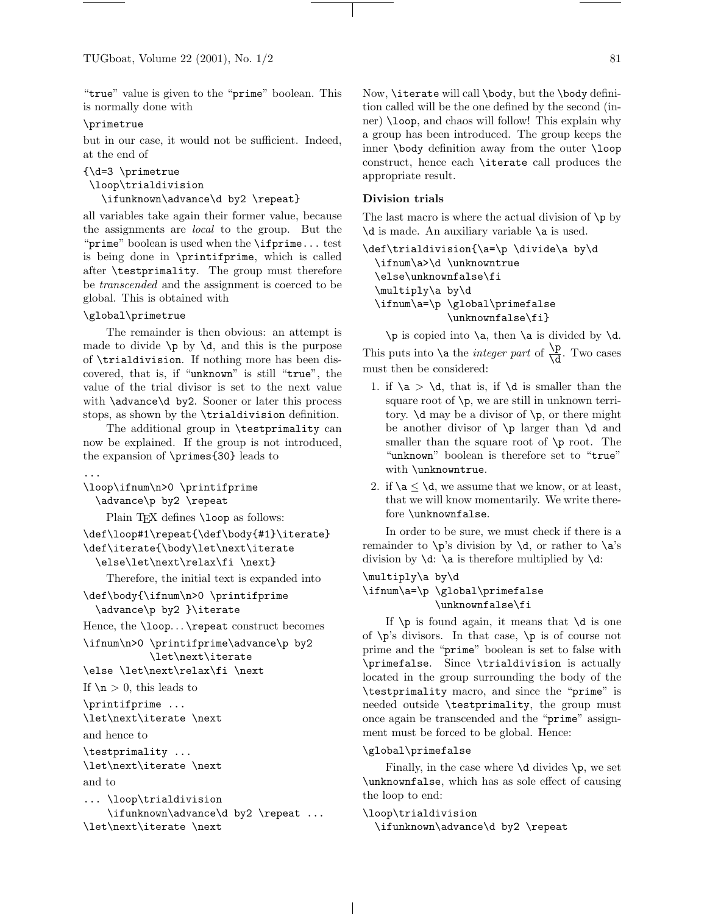"true" value is given to the "prime" boolean. This is normally done with

### \primetrue

but in our case, it would not be sufficient. Indeed, at the end of

```
{\d=3 \primetrue
```

```
\loop\trialdivision
```
\ifunknown\advance\d by2 \repeat}

all variables take again their former value, because the assignments are local to the group. But the "prime" boolean is used when the \ifprime... test is being done in \printifprime, which is called after \testprimality. The group must therefore be transcended and the assignment is coerced to be global. This is obtained with

## \global\primetrue

The remainder is then obvious: an attempt is made to divide  $\pi$  by  $\ddot{o}$ , and this is the purpose of \trialdivision. If nothing more has been discovered, that is, if "unknown" is still "true", the value of the trial divisor is set to the next value with \advance\d by2. Sooner or later this process stops, as shown by the \trialdivision definition.

The additional group in \testprimality can now be explained. If the group is not introduced, the expansion of \primes{30} leads to

```
...
```

```
\loop\ifnum\n>0 \printifprime
  \advance\p by2 \repeat
```
Plain TFX defines \loop as follows:

```
\def\loop#1\repeat{\def\body{#1}\iterate}
\def\iterate{\body\let\next\iterate
 \else\let\next\relax\fi \next}
```
Therefore, the initial text is expanded into

\def\body{\ifnum\n>0 \printifprime \advance\p by2 }\iterate

Hence, the \loop. . . \repeat construct becomes

```
\ifnum\n>0 \printifprime\advance\p by2
           \let\next\iterate
```
\else \let\next\relax\fi \next

If  $n > 0$ , this leads to

```
\printifprime ...
\let\next\iterate \next
```
and hence to

```
\testprimality ...
\let\next\iterate \next
```
and to

```
... \loop\trialdivision
    \ifunknown\advance\d by2 \repeat ...
\let\next\iterate \next
```
Now, \iterate will call \body, but the \body definition called will be the one defined by the second (inner) \loop, and chaos will follow! This explain why a group has been introduced. The group keeps the inner \body definition away from the outer \loop construct, hence each \iterate call produces the appropriate result.

## Division trials

The last macro is where the actual division of  $\pi$  by \d is made. An auxiliary variable \a is used.

```
\def\trialdivision{\a=\p \divide\a by\d
 \ifnum\a>\d \unknowntrue
  \else\unknownfalse\fi
  \multiply\a by\d
  \ifnum\a=\p \global\primefalse
              \unknownfalse\fi}
```
\p is copied into \a, then \a is divided by \d. This puts into  $\lambda$  a the *integer part* of  $\frac{\lambda p}{\lambda d}$ . Two cases must then be considered:

- 1. if  $\a > \d$ , that is, if  $\d$  is smaller than the square root of  $\mathcal{p}$ , we are still in unknown territory.  $\dagger$  may be a divisor of  $\pmb{\varphi}$ , or there might be another divisor of \p larger than \d and smaller than the square root of  $\pi$  root. The "unknown" boolean is therefore set to "true" with \unknowntrue.
- 2. if  $\alpha \leq \alpha$ , we assume that we know, or at least, that we will know momentarily. We write therefore \unknownfalse.

In order to be sure, we must check if there is a remainder to  $\pi$ 's division by  $\ddot{o}$ , or rather to  $\ddot{o}$ 's division by  $\dagger$ .  $\a$  is therefore multiplied by  $\dagger$ .

# \multiply\a by\d \ifnum\a=\p \global\primefalse \unknownfalse\fi

If  $\pi$  is found again, it means that  $\d$  is one of  $\pmb{\rho}$ 's divisors. In that case,  $\pmb{\rho}$  is of course not prime and the "prime" boolean is set to false with \primefalse. Since \trialdivision is actually located in the group surrounding the body of the \testprimality macro, and since the "prime" is needed outside \testprimality, the group must once again be transcended and the "prime" assignment must be forced to be global. Hence:

### \global\primefalse

Finally, in the case where  $\ddot{o}$  divides  $\ddot{o}$ , we set \unknownfalse, which has as sole effect of causing the loop to end:

```
\loop\trialdivision
```
\ifunknown\advance\d by2 \repeat